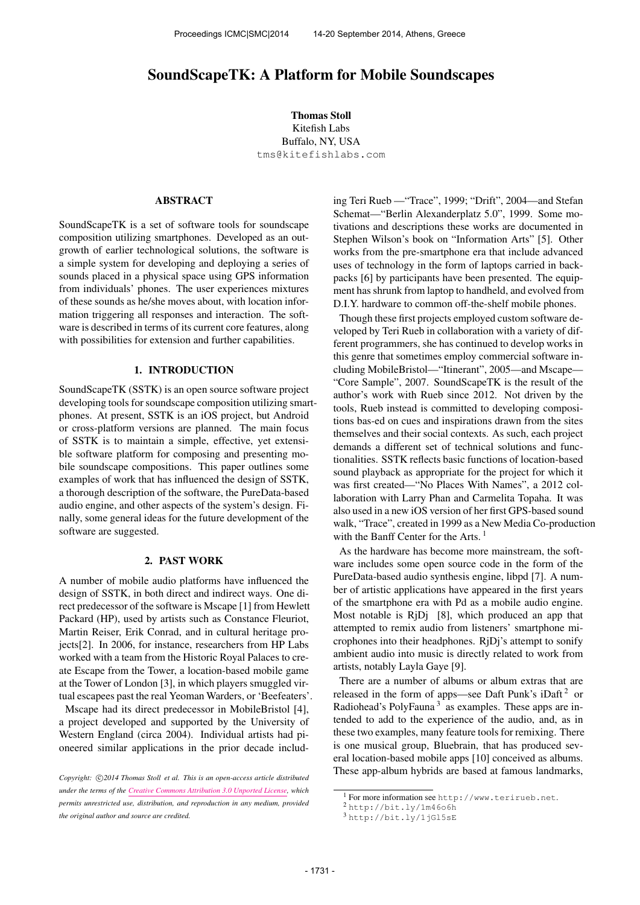# SoundScapeTK: A Platform for Mobile Soundscapes

Thomas Stoll Kitefish Labs Buffalo, NY, USA [tms@kitefishlabs.com](mailto:tms@kitefishlabs.com)

### ABSTRACT

SoundScapeTK is a set of software tools for soundscape composition utilizing smartphones. Developed as an outgrowth of earlier technological solutions, the software is a simple system for developing and deploying a series of sounds placed in a physical space using GPS information from individuals' phones. The user experiences mixtures of these sounds as he/she moves about, with location information triggering all responses and interaction. The software is described in terms of its current core features, along with possibilities for extension and further capabilities.

#### 1. INTRODUCTION

SoundScapeTK (SSTK) is an open source software project developing tools for soundscape composition utilizing smartphones. At present, SSTK is an iOS project, but Android or cross-platform versions are planned. The main focus of SSTK is to maintain a simple, effective, yet extensible software platform for composing and presenting mobile soundscape compositions. This paper outlines some examples of work that has influenced the design of SSTK, a thorough description of the software, the PureData-based audio engine, and other aspects of the system's design. Finally, some general ideas for the future development of the software are suggested.

#### 2. PAST WORK

A number of mobile audio platforms have influenced the design of SSTK, in both direct and indirect ways. One direct predecessor of the software is Mscape [1] from Hewlett Packard (HP), used by artists such as Constance Fleuriot, Martin Reiser, Erik Conrad, and in cultural heritage projects[2]. In 2006, for instance, researchers from HP Labs worked with a team from the Historic Royal Palaces to create Escape from the Tower, a location-based mobile game at the Tower of London [3], in which players smuggled virtual escapees past the real Yeoman Warders, or 'Beefeaters'.

Mscape had its direct predecessor in MobileBristol [4], a project developed and supported by the University of Western England (circa 2004). Individual artists had pioneered similar applications in the prior decade including Teri Rueb —"Trace", 1999; "Drift", 2004—and Stefan Schemat—"Berlin Alexanderplatz 5.0", 1999. Some motivations and descriptions these works are documented in Stephen Wilson's book on "Information Arts" [5]. Other works from the pre-smartphone era that include advanced uses of technology in the form of laptops carried in backpacks [6] by participants have been presented. The equipment has shrunk from laptop to handheld, and evolved from D.I.Y. hardware to common off-the-shelf mobile phones.

Though these first projects employed custom software developed by Teri Rueb in collaboration with a variety of different programmers, she has continued to develop works in this genre that sometimes employ commercial software including MobileBristol—"Itinerant", 2005—and Mscape— "Core Sample", 2007. SoundScapeTK is the result of the author's work with Rueb since 2012. Not driven by the tools, Rueb instead is committed to developing compositions bas-ed on cues and inspirations drawn from the sites themselves and their social contexts. As such, each project demands a different set of technical solutions and functionalities. SSTK reflects basic functions of location-based sound playback as appropriate for the project for which it was first created—"No Places With Names", a 2012 collaboration with Larry Phan and Carmelita Topaha. It was also used in a new iOS version of her first GPS-based sound walk, "Trace", created in 1999 as a New Media Co-production with the Banff Center for the Arts.  $<sup>1</sup>$ </sup>

As the hardware has become more mainstream, the software includes some open source code in the form of the PureData-based audio synthesis engine, libpd [7]. A number of artistic applications have appeared in the first years of the smartphone era with Pd as a mobile audio engine. Most notable is RjDj [8], which produced an app that attempted to remix audio from listeners' smartphone microphones into their headphones. RjDj's attempt to sonify ambient audio into music is directly related to work from artists, notably Layla Gaye [9].

There are a number of albums or album extras that are released in the form of apps—see Daft Punk's iDaft<sup>2</sup> or Radiohead's PolyFauna<sup>3</sup> as examples. These apps are intended to add to the experience of the audio, and, as in these two examples, many feature tools for remixing. There is one musical group, Bluebrain, that has produced several location-based mobile apps [10] conceived as albums. These app-album hybrids are based at famous landmarks,

Copyright:  $\bigcirc$ 2014 Thomas Stoll et al. This is an open-access article distributed *under the terms of the [Creative Commons Attribution 3.0 Unported License,](http://creativecommons.org/licenses/by/3.0/) which permits unrestricted use, distribution, and reproduction in any medium, provided the original author and source are credited.*

<sup>1</sup> For more information see <http://www.terirueb.net>.

<sup>2</sup> <http://bit.ly/1m46o6h>

<sup>3</sup> <http://bit.ly/1jGl5sE>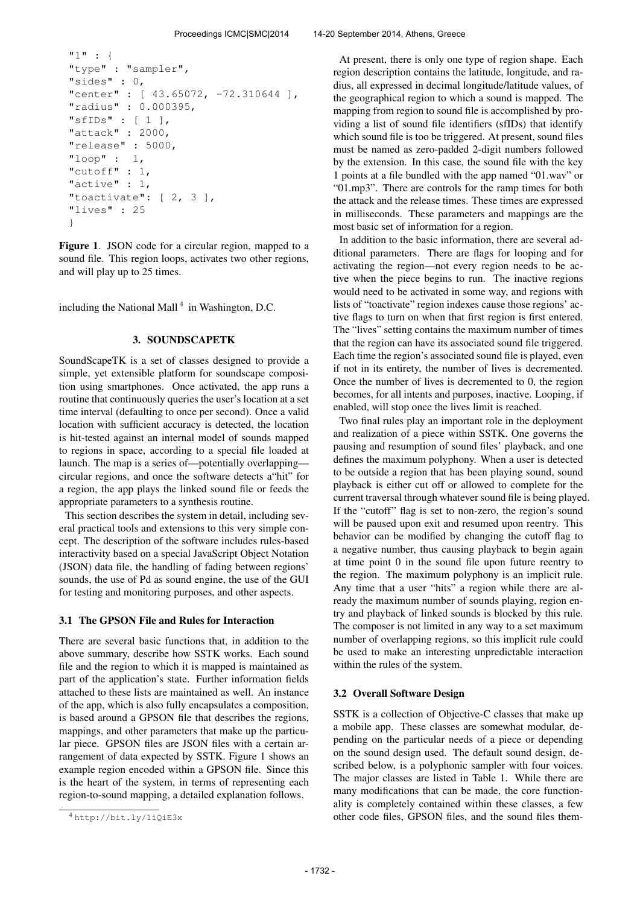```
"1" : {
"type" : "sampler",
"sides" : 0,
"center" : [ 43.65072, -72.310644 ],
"radius" : 0.000395,
"sfIDs" : [ 1 ],
"attack" : 2000,
"release" : 5000,
"loop" : 1,
"cutoff" : 1,
"active" : 1,
"toactivate": [ 2, 3 ],
"lives" : 25
}
```
Figure 1. JSON code for a circular region, mapped to a sound file. This region loops, activates two other regions, and will play up to 25 times.

including the National Mall<sup>4</sup> in Washington, D.C.

## 3. SOUNDSCAPETK

SoundScapeTK is a set of classes designed to provide a simple, yet extensible platform for soundscape composition using smartphones. Once activated, the app runs a routine that continuously queries the user's location at a set time interval (defaulting to once per second). Once a valid location with sufficient accuracy is detected, the location is hit-tested against an internal model of sounds mapped to regions in space, according to a special file loaded at launch. The map is a series of—potentially overlapping circular regions, and once the software detects a"hit" for a region, the app plays the linked sound file or feeds the appropriate parameters to a synthesis routine.

This section describes the system in detail, including several practical tools and extensions to this very simple concept. The description of the software includes rules-based interactivity based on a special JavaScript Object Notation (JSON) data file, the handling of fading between regions' sounds, the use of Pd as sound engine, the use of the GUI for testing and monitoring purposes, and other aspects.

#### 3.1 The GPSON File and Rules for Interaction

There are several basic functions that, in addition to the above summary, describe how SSTK works. Each sound file and the region to which it is mapped is maintained as part of the application's state. Further information fields attached to these lists are maintained as well. An instance of the app, which is also fully encapsulates a composition, is based around a GPSON file that describes the regions, mappings, and other parameters that make up the particular piece. GPSON files are JSON files with a certain arrangement of data expected by SSTK. Figure 1 shows an example region encoded within a GPSON file. Since this is the heart of the system, in terms of representing each region-to-sound mapping, a detailed explanation follows.

At present, there is only one type of region shape. Each region description contains the latitude, longitude, and radius, all expressed in decimal longitude/latitude values, of the geographical region to which a sound is mapped. The mapping from region to sound file is accomplished by providing a list of sound file identifiers (sfIDs) that identify which sound file is too be triggered. At present, sound files must be named as zero-padded 2-digit numbers followed by the extension. In this case, the sound file with the key 1 points at a file bundled with the app named "01.wav" or "01.mp3". There are controls for the ramp times for both the attack and the release times. These times are expressed in milliseconds. These parameters and mappings are the most basic set of information for a region.

In addition to the basic information, there are several additional parameters. There are flags for looping and for activating the region—not every region needs to be active when the piece begins to run. The inactive regions would need to be activated in some way, and regions with lists of "toactivate" region indexes cause those regions' active flags to turn on when that first region is first entered. The "lives" setting contains the maximum number of times that the region can have its associated sound file triggered. Each time the region's associated sound file is played, even if not in its entirety, the number of lives is decremented. Once the number of lives is decremented to 0, the region becomes, for all intents and purposes, inactive. Looping, if enabled, will stop once the lives limit is reached.

Two final rules play an important role in the deployment and realization of a piece within SSTK. One governs the pausing and resumption of sound files' playback, and one defines the maximum polyphony. When a user is detected to be outside a region that has been playing sound, sound playback is either cut off or allowed to complete for the current traversal through whatever sound file is being played. If the "cutoff" flag is set to non-zero, the region's sound will be paused upon exit and resumed upon reentry. This behavior can be modified by changing the cutoff flag to a negative number, thus causing playback to begin again at time point 0 in the sound file upon future reentry to the region. The maximum polyphony is an implicit rule. Any time that a user "hits" a region while there are already the maximum number of sounds playing, region entry and playback of linked sounds is blocked by this rule. The composer is not limited in any way to a set maximum number of overlapping regions, so this implicit rule could be used to make an interesting unpredictable interaction within the rules of the system.

#### 3.2 Overall Software Design

SSTK is a collection of Objective-C classes that make up a mobile app. These classes are somewhat modular, depending on the particular needs of a piece or depending on the sound design used. The default sound design, described below, is a polyphonic sampler with four voices. The major classes are listed in Table 1. While there are many modifications that can be made, the core functionality is completely contained within these classes, a few other code files, GPSON files, and the sound files them-

<sup>4</sup> <http://bit.ly/1iQiE3x>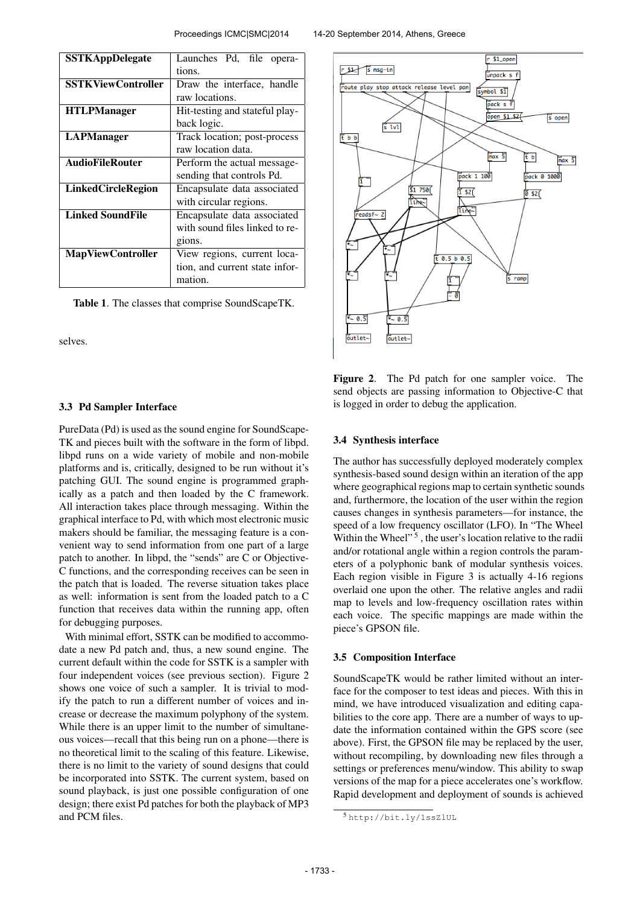| <b>SSTKAppDelegate</b>    | Launches Pd, file opera-       |  |  |
|---------------------------|--------------------------------|--|--|
|                           | tions.                         |  |  |
| <b>SSTKViewController</b> | Draw the interface, handle     |  |  |
|                           | raw locations.                 |  |  |
| <b>HTLPManager</b>        | Hit-testing and stateful play- |  |  |
|                           | back logic.                    |  |  |
| <b>LAPManager</b>         | Track location; post-process   |  |  |
|                           | raw location data.             |  |  |
| <b>AudioFileRouter</b>    | Perform the actual message-    |  |  |
|                           | sending that controls Pd.      |  |  |
| <b>LinkedCircleRegion</b> | Encapsulate data associated    |  |  |
|                           | with circular regions.         |  |  |
| <b>Linked SoundFile</b>   | Encapsulate data associated    |  |  |
|                           | with sound files linked to re- |  |  |
|                           | gions.                         |  |  |
| <b>MapViewController</b>  | View regions, current loca-    |  |  |
|                           | tion, and current state infor- |  |  |
|                           | mation.                        |  |  |

Table 1. The classes that comprise SoundScapeTK.

selves.

#### 3.3 Pd Sampler Interface

PureData (Pd) is used as the sound engine for SoundScape-TK and pieces built with the software in the form of libpd. libpd runs on a wide variety of mobile and non-mobile platforms and is, critically, designed to be run without it's patching GUI. The sound engine is programmed graphically as a patch and then loaded by the C framework. All interaction takes place through messaging. Within the graphical interface to Pd, with which most electronic music makers should be familiar, the messaging feature is a convenient way to send information from one part of a large patch to another. In libpd, the "sends" are C or Objective-C functions, and the corresponding receives can be seen in the patch that is loaded. The reverse situation takes place as well: information is sent from the loaded patch to a C function that receives data within the running app, often for debugging purposes.

With minimal effort, SSTK can be modified to accommodate a new Pd patch and, thus, a new sound engine. The current default within the code for SSTK is a sampler with four independent voices (see previous section). Figure 2 shows one voice of such a sampler. It is trivial to modify the patch to run a different number of voices and increase or decrease the maximum polyphony of the system. While there is an upper limit to the number of simultaneous voices—recall that this being run on a phone—there is no theoretical limit to the scaling of this feature. Likewise, there is no limit to the variety of sound designs that could be incorporated into SSTK. The current system, based on sound playback, is just one possible configuration of one design; there exist Pd patches for both the playback of MP3 and PCM files.



Figure 2. The Pd patch for one sampler voice. The send objects are passing information to Objective-C that is logged in order to debug the application.

#### 3.4 Synthesis interface

The author has successfully deployed moderately complex synthesis-based sound design within an iteration of the app where geographical regions map to certain synthetic sounds and, furthermore, the location of the user within the region causes changes in synthesis parameters—for instance, the speed of a low frequency oscillator (LFO). In "The Wheel Within the Wheel"<sup>5</sup>, the user's location relative to the radii and/or rotational angle within a region controls the parameters of a polyphonic bank of modular synthesis voices. Each region visible in Figure 3 is actually 4-16 regions overlaid one upon the other. The relative angles and radii map to levels and low-frequency oscillation rates within each voice. The specific mappings are made within the piece's GPSON file.

#### 3.5 Composition Interface

SoundScapeTK would be rather limited without an interface for the composer to test ideas and pieces. With this in mind, we have introduced visualization and editing capabilities to the core app. There are a number of ways to update the information contained within the GPS score (see above). First, the GPSON file may be replaced by the user, without recompiling, by downloading new files through a settings or preferences menu/window. This ability to swap versions of the map for a piece accelerates one's workflow. Rapid development and deployment of sounds is achieved

<sup>5</sup> <http://bit.ly/1ssZlUL>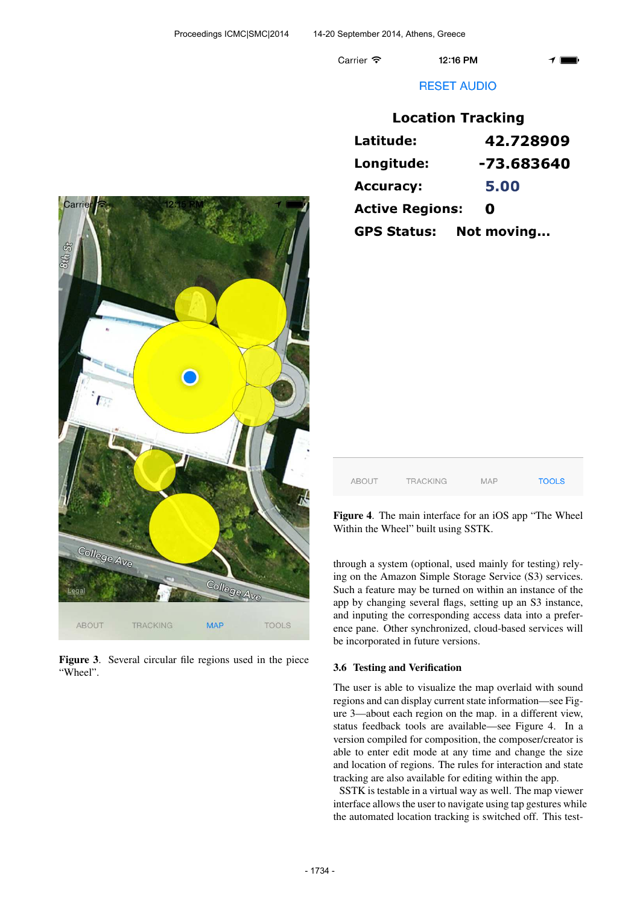Carrier 今

12:16 PM

# **RESET AUDIO**

| <b>Location Tracking</b> |            |  |  |  |
|--------------------------|------------|--|--|--|
| Latitude:                | 42.728909  |  |  |  |
| Longitude:               | -73.683640 |  |  |  |
| <b>Accuracy:</b>         | 5.00       |  |  |  |
| <b>Active Regions:</b>   | 0          |  |  |  |
| <b>GPS Status:</b>       | Not moving |  |  |  |



Figure 3. Several circular file regions used in the piece "Wheel".

| ABOUT | <b>TRACKING</b> | <b>MAP</b> | <b>TOOLS</b> |
|-------|-----------------|------------|--------------|
|       |                 |            |              |

Figure 4. The main interface for an iOS app "The Wheel Within the Wheel" built using SSTK.

through a system (optional, used mainly for testing) relying on the Amazon Simple Storage Service (S3) services. Such a feature may be turned on within an instance of the app by changing several flags, setting up an S3 instance, and inputing the corresponding access data into a preference pane. Other synchronized, cloud-based services will be incorporated in future versions.

# 3.6 Testing and Verification

The user is able to visualize the map overlaid with sound regions and can display current state information—see Figure 3—about each region on the map. in a different view, status feedback tools are available—see Figure 4. In a version compiled for composition, the composer/creator is able to enter edit mode at any time and change the size and location of regions. The rules for interaction and state tracking are also available for editing within the app.

SSTK is testable in a virtual way as well. The map viewer interface allows the user to navigate using tap gestures while the automated location tracking is switched off. This test